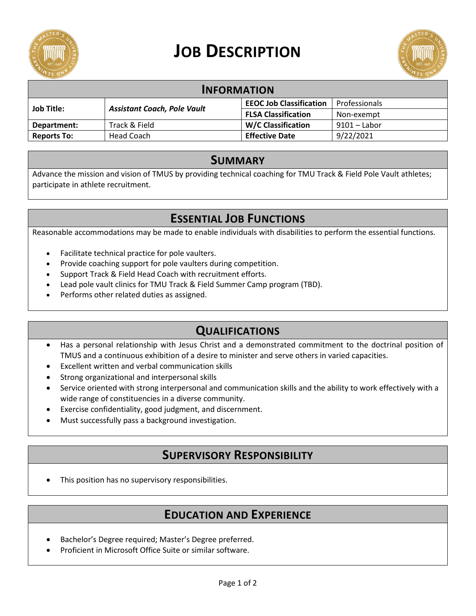

# **JOB DESCRIPTION**



| <b>INFORMATION</b> |                                    |                                |                |
|--------------------|------------------------------------|--------------------------------|----------------|
| <b>Job Title:</b>  | <b>Assistant Coach, Pole Vault</b> | <b>EEOC Job Classification</b> | Professionals  |
|                    |                                    | <b>FLSA Classification</b>     | Non-exempt     |
| Department:        | Track & Field                      | <b>W/C Classification</b>      | $9101 -$ Labor |
| <b>Reports To:</b> | Head Coach                         | <b>Effective Date</b>          | 9/22/2021      |

#### **SUMMARY**

Advance the mission and vision of TMUS by providing technical coaching for TMU Track & Field Pole Vault athletes; participate in athlete recruitment.

## **ESSENTIAL JOB FUNCTIONS**

Reasonable accommodations may be made to enable individuals with disabilities to perform the essential functions.

- Facilitate technical practice for pole vaulters.
- Provide coaching support for pole vaulters during competition.
- Support Track & Field Head Coach with recruitment efforts.
- Lead pole vault clinics for TMU Track & Field Summer Camp program (TBD).
- Performs other related duties as assigned.

### **QUALIFICATIONS**

- Has a personal relationship with Jesus Christ and a demonstrated commitment to the doctrinal position of TMUS and a continuous exhibition of a desire to minister and serve others in varied capacities.
- Excellent written and verbal communication skills
- Strong organizational and interpersonal skills
- Service oriented with strong interpersonal and communication skills and the ability to work effectively with a wide range of constituencies in a diverse community.
- Exercise confidentiality, good judgment, and discernment.
- Must successfully pass a background investigation.

#### **SUPERVISORY RESPONSIBILITY**

This position has no supervisory responsibilities.

## **EDUCATION AND EXPERIENCE**

- Bachelor's Degree required; Master's Degree preferred.
- Proficient in Microsoft Office Suite or similar software.